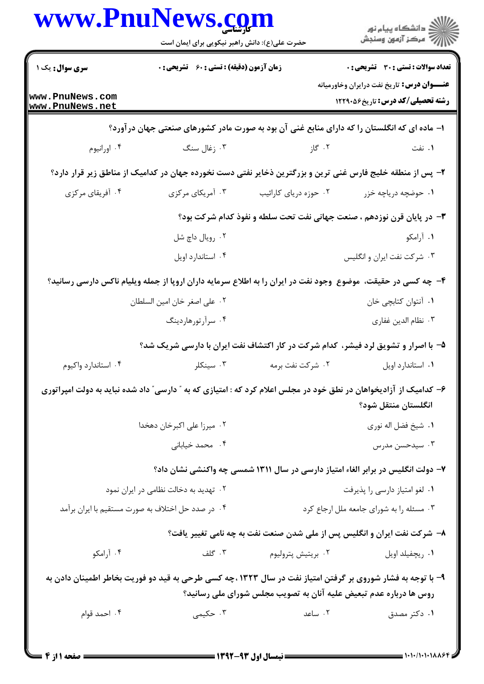|                                                   | حضرت علی(ع): دانش راهبر نیکویی برای ایمان است                                                                     |                                                                                 | ڪ دانشڪاه پيا <sub>م</sub> نور<br>ر <i>ا</i> ⊂ مرڪز آزمون وسنڊش                                 |  |
|---------------------------------------------------|-------------------------------------------------------------------------------------------------------------------|---------------------------------------------------------------------------------|-------------------------------------------------------------------------------------------------|--|
| سری سوال: یک ۱                                    | <b>زمان آزمون (دقیقه) : تستی : 60 ٪ تشریحی : 0</b>                                                                |                                                                                 | تعداد سوالات : تستي : 30 ٪ تشريحي : 0                                                           |  |
| www.PnuNews.com<br>www.PnuNews.net                |                                                                                                                   |                                                                                 | <b>عنـــوان درس:</b> تاریخ نفت درایران وخاورمیانه<br><b>رشته تحصیلی/کد درس:</b> تاریخ45291 1229 |  |
|                                                   | ا– ماده ای که انگلستان را که دارای منابع غنی آن بود به صورت مادر کشورهای صنعتی جهان در آورد؟                      |                                                                                 |                                                                                                 |  |
| ۰۴ اورانيوم                                       | ۰۳ زغال سنگ                                                                                                       | ۰۲ گاز                                                                          | ۰۱ نفت                                                                                          |  |
|                                                   | ۲- پس از منطقه خلیج فارس غنی ترین و بزرگترین ذخایر نفتی دست نخورده جهان در کدامیک از مناطق زیر قرار دارد؟         |                                                                                 |                                                                                                 |  |
| ۰۴ آفریقای مرکزی                                  | ۰۳ آمریکای مرکزی                                                                                                  | ۰۲ حوزه دریای کارائیب                                                           | ۰۱ حوضچه دریاچه خزر                                                                             |  |
|                                                   | ۳- در پایان قرن نوزدهم ، صنعت جهانی نفت تحت سلطه و نفوذ کدام شرکت بود؟                                            |                                                                                 |                                                                                                 |  |
|                                                   | ۰۲ رویال داچ شل                                                                                                   |                                                                                 | ۰۱ آرامکو                                                                                       |  |
|                                                   | ۰۴ استاندارد اويل                                                                                                 |                                                                                 | ۰۳ شرکت نفت ایران و انگلیس                                                                      |  |
|                                                   | ۴- چه کسی در حقیقت، موضوع ًوجود نفت در ایران را به اطلاع سرمایه داران اروپا از جمله ویلیام ناکس دارسی رسانید؟     |                                                                                 |                                                                                                 |  |
|                                                   | ٠٢ على اصغر خان امين السلطان                                                                                      |                                                                                 | ٠١. أنتوان كتابچي خان                                                                           |  |
|                                                   | ۰۴ سرآرتورهاردينگ                                                                                                 |                                                                                 | ۰۳ نظام الدين غفاري                                                                             |  |
|                                                   | ۵– با اصرار و تشویق لرد فیشر، کدام شرکت در کار اکتشاف نفت ایران با دارسی شریک شد؟                                 |                                                                                 |                                                                                                 |  |
| ۰۴ استاندارد واکیوم                               | ۰۳ سینکلر                                                                                                         | ۰۲ شرکت نفت برمه                                                                | ٠١. استاندارد اويل                                                                              |  |
|                                                   | ۶– کدامیک از آزادیخواهان در نطق خود در مجلس اعلام کرد که : امتیازی که به " دارسی" داد شده نباید به دولت امپراتوری |                                                                                 | انگلستان منتقل شود؟                                                                             |  |
|                                                   | ٠٢ ميرزا على اكبرخان دهخدا                                                                                        |                                                                                 | ٠١. شيخ فضل اله نوري                                                                            |  |
|                                                   | ۰۴ محمد خیابانی                                                                                                   |                                                                                 | ۰۳ سیدحسن مدرس                                                                                  |  |
|                                                   |                                                                                                                   | ۷– دولت انگلیس در برابر الغاء امتیاز دارسی در سال ۱۳۱۱ شمسی چه واکنشی نشان داد؟ |                                                                                                 |  |
| ۰۲ تهدید به دخالت نظامی در ایران نمود             |                                                                                                                   |                                                                                 | ٠١ لغو امتياز دارسي را پذيرفت                                                                   |  |
| ۰۴ در صدد حل اختلاف به صورت مستقیم با ایران برآمد |                                                                                                                   |                                                                                 | ۰۳ مسئله را به شورای جامعه ملل ارجاع کرد                                                        |  |
|                                                   |                                                                                                                   | ۸- شرکت نفت ایران و انگلیس پس از ملی شدن صنعت نفت به چه نامی تغییر یافت؟        |                                                                                                 |  |
| ۰۴ آرامکو                                         | ۰۳ گلف                                                                                                            | ۰۲ بريتيش پتروليوم                                                              | ٠١ ريچفيلد اويل                                                                                 |  |
|                                                   | ۹- با توجه به فشار شوروی بر گرفتن امتیاز نفت در سال ۱۳۲۳ ،چه کسی طرحی به قید دو فوریت بخاطر اطمینان دادن به       | روس ها درباره عدم تبعیض علیه آنان به تصویب مجلس شورای ملی رسانید؟               |                                                                                                 |  |
| ۰۴ احمد قوام                                      | ۰۳ حکیمی                                                                                                          | ۰۲ ساعد                                                                         | ۰۱ دکتر مصدق                                                                                    |  |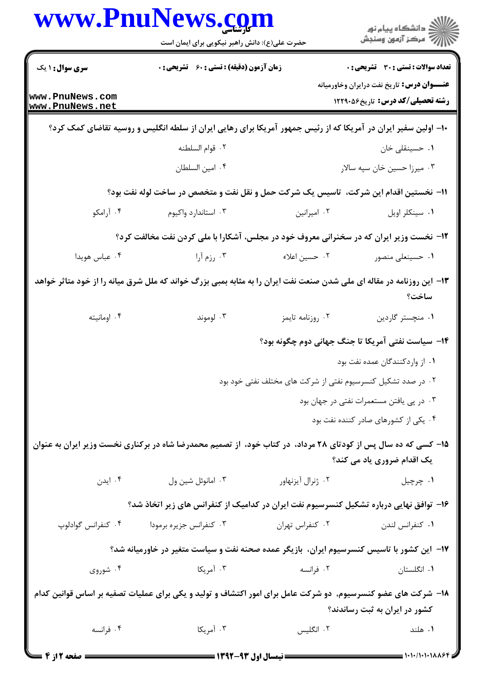|                                                                                                                                | www.PnuNews.com<br>حضرت علی(ع): دانش راهبر نیکویی برای ایمان است                                               |                                                              | ≦ دانشڪاه پيام نور<br>7- مرڪز آزمون وسنڊش                                                    |
|--------------------------------------------------------------------------------------------------------------------------------|----------------------------------------------------------------------------------------------------------------|--------------------------------------------------------------|----------------------------------------------------------------------------------------------|
| <b>سری سوال : ۱ یک</b>                                                                                                         | <b>زمان آزمون (دقیقه) : تستی : 60 ٪ تشریحی : 0</b>                                                             |                                                              | <b>تعداد سوالات : تستی : 30 ٪ تشریحی : 0</b>                                                 |
| www.PnuNews.com<br>www.PnuNews.net                                                                                             |                                                                                                                |                                                              | <b>عنــــوان درس:</b> تاریخ نفت درایران وخاورمیانه<br><b>رشته تحصیلی/کد درس:</b> تاریخ260121 |
|                                                                                                                                | ∙۱− اولین سفیر ایران در آمریکا که از رئیس جمهور آمریکا برای رهایی ایران از سلطه انگلیس و روسیه تقاضای کمک کرد؟ |                                                              |                                                                                              |
|                                                                                                                                | ٠٢ قوام السلطنه                                                                                                |                                                              | ٠١. حسينقلي خان                                                                              |
|                                                                                                                                | ۰۴ امين السلطان                                                                                                |                                                              | ۰۳ میرزا حسین خان سپه سالار                                                                  |
|                                                                                                                                | 11- نخستین اقدام این شرکت،  تاسیس یک شرکت حمل و نقل نفت و متخصص در ساخت لوله نفت بود؟                          |                                                              |                                                                                              |
| ۰۴ آرامکو                                                                                                                      | ۰۳ استاندارد واکیوم                                                                                            | ۰۲ امیرانین                                                  | ٠١. سينكلر اويل                                                                              |
|                                                                                                                                | ۱۲- نخست وزیر ایران که در سخنرانی معروف خود در مجلس، آشکارا با ملی کردن نفت مخالفت کرد؟                        |                                                              |                                                                                              |
| ۰۴ عباس هويدا                                                                                                                  | ۰۳ رزم آرا                                                                                                     | ۰۲ حسین اعلاء                                                | ۰۱ حسینعلی منصور                                                                             |
| ۱۳- این روزنامه در مقاله ای ملی شدن صنعت نفت ایران را به مثابه بمبی بزرگ خواند که ملل شرق میانه را از خود متاثر خواهد<br>ساخت؟ |                                                                                                                |                                                              |                                                                                              |
| ۰۴ اومانيته                                                                                                                    | ۰۳ لوموند                                                                                                      | ٠٢ روزنامه تايمز                                             | ۰۱ منچستر گاردین                                                                             |
|                                                                                                                                |                                                                                                                |                                                              | ۱۴– سیاست نفتی آمریکا تا جنگ جهانی دوم چگونه بود؟                                            |
|                                                                                                                                |                                                                                                                |                                                              | ۰۱ از واردکنندگان عمده نفت بود                                                               |
|                                                                                                                                |                                                                                                                | ۰۲ در صدد تشکیل کنسرسیوم نفتی از شرکت های مختلف نفتی خود بود |                                                                                              |
|                                                                                                                                |                                                                                                                |                                                              | ۰۳ در پی یافتن مستعمرات نفتی در جهان بود                                                     |
|                                                                                                                                |                                                                                                                |                                                              | ۰۴ یکی از کشورهای صادر کننده نفت بود                                                         |
|                                                                                                                                | ۱۵– کسی که ده سال پس از کودتای ۲۸ مرداد، در کتاب خود، از تصمیم محمدرضا شاه در برکناری نخست وزیر ایران به عنوان |                                                              | یک اقدام ضروری یاد می کند؟                                                                   |
| ۰۴ ایدن                                                                                                                        | ۰۳ امانوئل شين ول                                                                                              | ۰۲ ژنرال آیزنهاور                                            | ۰۱ چرچيل                                                                                     |
|                                                                                                                                | ۱۶– توافق نهایی درباره تشکیل کنسرسیوم نفت ایران در کدامیک از کنفرانس های زیر اتخاذ شد؟                         |                                                              |                                                                                              |
| ۰۴ كنفرانس گوادلوپ                                                                                                             | ۰۳ کنفرانس جزیره برمودا                                                                                        | ۰۲ کنفراس تهران                                              | ٠١ كنفرانس لندن                                                                              |
| ۱۷– این کشور با تاسیس کنسرسیوم ایران، بازیگر عمده صحنه نفت و سیاست متغیر در خاورمیانه شد؟                                      |                                                                                                                |                                                              |                                                                                              |
| ۰۴ شوروی                                                                                                                       | ۰۳ آمریکا                                                                                                      | ۰۲ فرانسه                                                    | ۰۱ انگلستان                                                                                  |
|                                                                                                                                | ۱۸– شرکت های عضو کنسرسیوم، دو شرکت عامل برای امور اکتشاف و تولید و یکی برای عملیات تصفیه بر اساس قوانین کدام   |                                                              |                                                                                              |
|                                                                                                                                |                                                                                                                |                                                              | کشور در ایران به ثبت رساندند؟                                                                |
| ۰۴ فرانسه                                                                                                                      | ۰۳ آمریکا                                                                                                      | ۰۲ انگلیس                                                    | ۰۱ هلند                                                                                      |
|                                                                                                                                |                                                                                                                |                                                              |                                                                                              |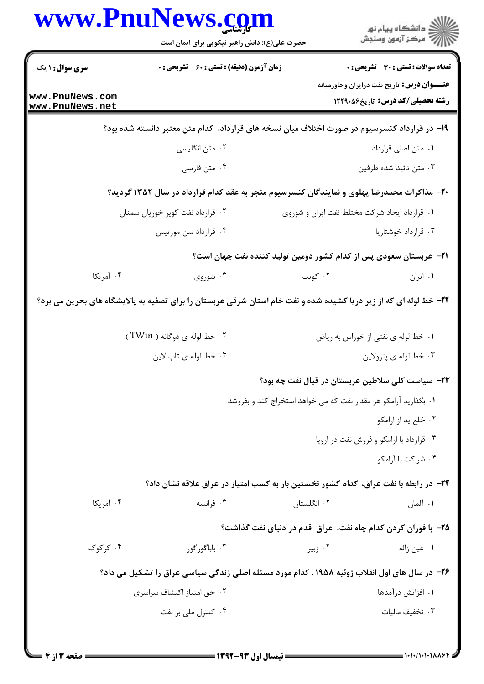|                                    | www.PnuNews.com                                                                                                   |                                                                 | ڪ دانشڪاه پيام نور<br>پ <sup>ر</sup> مرڪز آزمون وسنڊش                                           |  |
|------------------------------------|-------------------------------------------------------------------------------------------------------------------|-----------------------------------------------------------------|-------------------------------------------------------------------------------------------------|--|
|                                    | حضرت علی(ع): دانش راهبر نیکویی برای ایمان است                                                                     |                                                                 |                                                                                                 |  |
| <b>سری سوال : ۱ یک</b>             | <b>زمان آزمون (دقیقه) : تستی : 60 ٪ تشریحی : 0</b>                                                                |                                                                 | <b>تعداد سوالات : تستي : 30 ٪ تشريحي : 0</b>                                                    |  |
| www.PnuNews.com<br>www.PnuNews.net |                                                                                                                   |                                                                 | <b>عنــــوان درس :</b> تاریخ نفت درایران وخاورمیانه<br><b>رشته تحصیلی/کد درس:</b> تاریخ26012 12 |  |
|                                    | ۱۹– در قرارداد کنسرسیوم در صورت اختلاف میان نسخه های قرارداد، کدام متن معتبر دانسته شده بود؟                      |                                                                 |                                                                                                 |  |
|                                    | ۰۲ متن انگلیسی                                                                                                    |                                                                 | ۰۱ متن اصلی قرارداد                                                                             |  |
|                                    | ۰۴ متن فارسي                                                                                                      |                                                                 | ۰۳ متن تائيد شده طرفين                                                                          |  |
|                                    | +۲- مذاکرات محمدرضا پهلوی و نمایندگان کنسرسیوم منجر به عقد کدام قرارداد در سال ۱۳۵۲ گردید؟                        |                                                                 |                                                                                                 |  |
|                                    | ۰۲ قرارداد نفت کویر خوریان سمنان                                                                                  | ٠١ قرارداد ايجاد شركت مختلط نفت ايران و شوروى                   |                                                                                                 |  |
|                                    | ۰۴ قرارداد سن مورتيس                                                                                              |                                                                 | ۰۳ قرارداد خوشتاریا                                                                             |  |
|                                    |                                                                                                                   |                                                                 | <b>۲۱</b> – عربستان سعودی پس از کدام کشور دومین تولید کننده نفت جهان است؟                       |  |
| ۰۴ آمریکا                          | ۰۳ شوروی                                                                                                          | ۰۲ کویت                                                         | ٠١ ايران                                                                                        |  |
|                                    | ۲۲- خط لوله ای که از زیر دریا کشیده شده و نفت خام استان شرقی عربستان را برای تصفیه به پالایشگاه های بحرین می برد؟ |                                                                 |                                                                                                 |  |
|                                    | ۰۲ خط لوله ی دوگانه ( TWin)                                                                                       |                                                                 | ٠١ خط لوله ي نفتي از خوراس به رياض                                                              |  |
|                                    | ۰۴ خط لوله ی تاپ لاین                                                                                             |                                                                 | ۰۳ خط لوله ي پترولاين                                                                           |  |
|                                    |                                                                                                                   |                                                                 | ۲۳- سیاست کلی سلاطین عربستان در قبال نفت چه بود؟                                                |  |
|                                    |                                                                                                                   | ۰۱ بگذارید آرامکو هر مقدار نفت که می خواهد استخراج کند و بفروشد |                                                                                                 |  |
|                                    |                                                                                                                   |                                                                 | ۰۲ خلع پد از ارامکو                                                                             |  |
|                                    |                                                                                                                   |                                                                 | ۰۳ قرارداد با ارامکو و فروش نفت در اروپا<br>۰۴ شراكت با آرامكو                                  |  |
|                                    | ۲۴- در رابطه با نفت عراق، کدام کشور نخستین بار به کسب امتیاز در عراق علاقه نشان داد؟                              |                                                                 |                                                                                                 |  |
| ۰۴ آمریکا                          | ۰۳ فرانسه                                                                                                         | ۰۲ انگلستان                                                     | ۰۱ آلمان                                                                                        |  |
|                                    |                                                                                                                   |                                                                 | ۲۵- با فوران کردن کدام چاه نفت، عراق قدم در دنیای نفت گذاشت؟                                    |  |
| ۰۴ کر کوک                          | ۰۳ باباگور گور                                                                                                    | ۰۲ زبیر                                                         | ٠١. عين زاله                                                                                    |  |
|                                    | ۲۶- در سال های اول انقلاب ژوئیه ۱۹۵۸ ، کدام مورد مسئله اصلی زندگی سیاسی عراق را تشکیل می داد؟                     |                                                                 |                                                                                                 |  |
|                                    |                                                                                                                   |                                                                 |                                                                                                 |  |
|                                    | ٠٢ حق امتياز اكتشاف سراسرى                                                                                        |                                                                 | ٠١. افزايش درآمدها                                                                              |  |